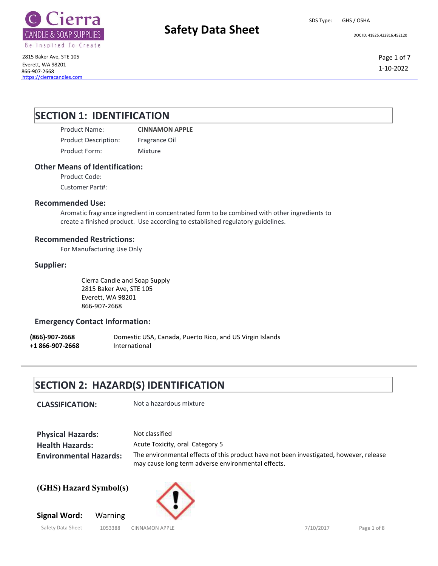

# **Safety Data Sheet** Department Decline 41825.422816.452120

SDS Type: GHS / OSHA

2815 Baker Ave, STE 105 Everett, WA 98201 866-907-2668 https://cierracandles.com Page 1 of 7 1-10-2022

### **SECTION 1: IDENTIFICATION**

Product Name: **CINNAMON APPLE** Product Description: Fragrance Oil Product Form: Mixture

### **Other Means of Identification:**

Product Code:

Customer Part#:

### **Recommended Use:**

Aromatic fragrance ingredient in concentrated form to be combined with other ingredients to create a finished product. Use according to established regulatory guidelines.

### **Recommended Restrictions:**

For Manufacturing Use Only

### **Supplier:**

Cierra Candle and Soap Supply 2815 Baker Ave, STE 105 Everett, WA 98201 866-907-2668

### **Emergency Contact Information:**

**(866)-907-2668** Domestic USA, Canada, Puerto Rico, and US Virgin Islands **+1 866-907-2668** International

## **SECTION 2: HAZARD(S) IDENTIFICATION**

**CLASSIFICATION:** Not a hazardous mixture

**Physical Hazards: Health Hazards: Environmental Hazards:** Not classified Acute Toxicity, oral Category 5 The environmental effects of this product have not been investigated, however, release may cause long term adverse environmental effects.

**(GHS) Hazard Symbol(s)**

**Signal Word:** Warning

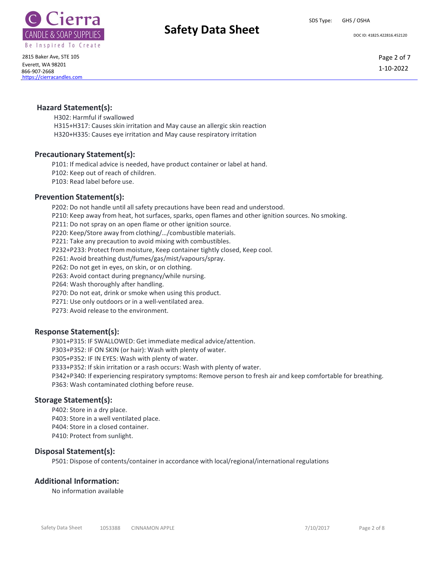



# **Safety Data Sheet** Department Decipe 41825.422816.452120

2815 Baker Ave, STE 105 Everett, WA 98201 866-907-2668 https://cierracandles.com

Page 2 of 7 1-10-2022

### **Hazard Statement(s):**

H302: Harmful if swallowed H315+H317: Causes skin irritation and May cause an allergic skin reaction H320+H335: Causes eye irritation and May cause respiratory irritation

### **Precautionary Statement(s):**

P101: If medical advice is needed, have product container or label at hand. P102: Keep out of reach of children. P103: Read label before use.

### **Prevention Statement(s):**

P202: Do not handle until all safety precautions have been read and understood. P210: Keep away from heat, hot surfaces, sparks, open flames and other ignition sources. No smoking. P211: Do not spray on an open flame or other ignition source. P220: Keep/Store away from clothing/…/combustible materials. P221: Take any precaution to avoid mixing with combustibles. P232+P233: Protect from moisture, Keep container tightly closed, Keep cool. P261: Avoid breathing dust/fumes/gas/mist/vapours/spray. P262: Do not get in eyes, on skin, or on clothing. P263: Avoid contact during pregnancy/while nursing. P264: Wash thoroughly after handling. P270: Do not eat, drink or smoke when using this product. P271: Use only outdoors or in a well-ventilated area.

P273: Avoid release to the environment.

### **Response Statement(s):**

P301+P315: IF SWALLOWED: Get immediate medical advice/attention.

P303+P352: IF ON SKIN (or hair): Wash with plenty of water.

P305+P352: IF IN EYES: Wash with plenty of water.

P333+P352: If skin irritation or a rash occurs: Wash with plenty of water.

P342+P340: If experiencing respiratory symptoms: Remove person to fresh air and keep comfortable for breathing. P363: Wash contaminated clothing before reuse.

### **Storage Statement(s):**

P402: Store in a dry place. P403: Store in a well ventilated place. P404: Store in a closed container. P410: Protect from sunlight.

### **Disposal Statement(s):**

P501: Dispose of contents/container in accordance with local/regional/international regulations

### **Additional Information:**

No information available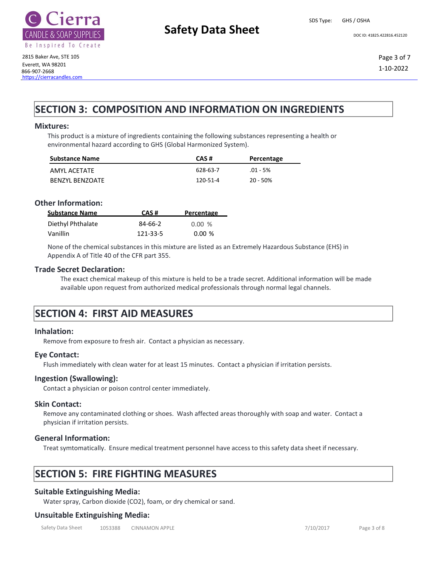

# **Safety Data Sheet** Department Decipe 41825.422816.452120

SDS Type: GHS / OSHA

2815 Baker Ave, STE 105 Everett, WA 98201 866-907-2668 https://cierracandles.com Page 3 of 7 1-10-2022

## **SECTION 3: COMPOSITION AND INFORMATION ON INGREDIENTS**

### **Mixtures:**

This product is a mixture of ingredients containing the following substances representing a health or environmental hazard according to GHS (Global Harmonized System).

| <b>Substance Name</b>  | CAS#     | Percentage |
|------------------------|----------|------------|
| AMYL ACETATE           | 628-63-7 | $.01 - 5%$ |
| <b>BENZYL BENZOATE</b> | 120-51-4 | 20 - 50%   |

### **Other Information:**

| <b>Substance Name</b> | CAS#     | Percentage |
|-----------------------|----------|------------|
| Diethyl Phthalate     | 84-66-2  | 0.00%      |
| Vanillin              | 121-33-5 | 0.00%      |

None of the chemical substances in this mixture are listed as an Extremely Hazardous Substance (EHS) in Appendix A of Title 40 of the CFR part 355.

### **Trade Secret Declaration:**

The exact chemical makeup of this mixture is held to be a trade secret. Additional information will be made available upon request from authorized medical professionals through normal legal channels.

### **SECTION 4: FIRST AID MEASURES**

#### **Inhalation:**

Remove from exposure to fresh air. Contact a physician as necessary.

#### **Eye Contact:**

Flush immediately with clean water for at least 15 minutes. Contact a physician if irritation persists.

#### **Ingestion (Swallowing):**

Contact a physician or poison control center immediately.

#### **Skin Contact:**

Remove any contaminated clothing or shoes. Wash affected areas thoroughly with soap and water. Contact a physician if irritation persists.

### **General Information:**

Treat symtomatically. Ensure medical treatment personnel have access to this safety data sheet if necessary.

## **SECTION 5: FIRE FIGHTING MEASURES**

### **Suitable Extinguishing Media:**

Water spray, Carbon dioxide (CO2), foam, or dry chemical or sand.

### **Unsuitable Extinguishing Media:**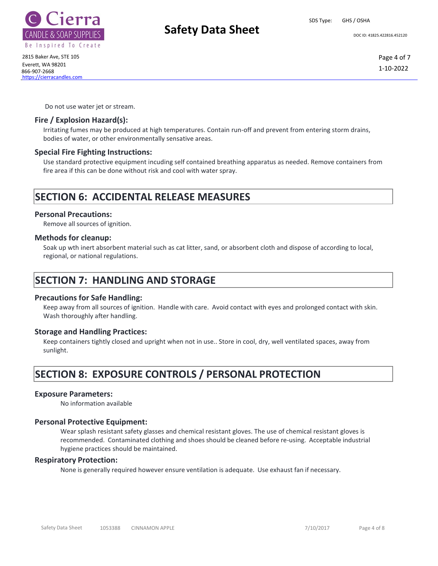



# **Safety Data Sheet** Development Development Development Development Development Development Development Development Development Development Development Development Development Development Development Development Developmen

2815 Baker Ave, STE 105 Everett, WA 98201 866-907-2668 https://cierracandles.com

Page 4 of 7 1-10-2022

Do not use water jet or stream.

### **Fire / Explosion Hazard(s):**

Irritating fumes may be produced at high temperatures. Contain run-off and prevent from entering storm drains, bodies of water, or other environmentally sensative areas.

### **Special Fire Fighting Instructions:**

Use standard protective equipment incuding self contained breathing apparatus as needed. Remove containers from fire area if this can be done without risk and cool with water spray.

## **SECTION 6: ACCIDENTAL RELEASE MEASURES**

### **Personal Precautions:**

Remove all sources of ignition.

### **Methods for cleanup:**

Soak up wth inert absorbent material such as cat litter, sand, or absorbent cloth and dispose of according to local, regional, or national regulations.

### **SECTION 7: HANDLING AND STORAGE**

### **Precautions for Safe Handling:**

Keep away from all sources of ignition. Handle with care. Avoid contact with eyes and prolonged contact with skin. Wash thoroughly after handling.

### **Storage and Handling Practices:**

Keep containers tightly closed and upright when not in use.. Store in cool, dry, well ventilated spaces, away from sunlight.

# **SECTION 8: EXPOSURE CONTROLS / PERSONAL PROTECTION**

### **Exposure Parameters:**

No information available

### **Personal Protective Equipment:**

Wear splash resistant safety glasses and chemical resistant gloves. The use of chemical resistant gloves is recommended. Contaminated clothing and shoes should be cleaned before re-using. Acceptable industrial hygiene practices should be maintained.

### **Respiratory Protection:**

None is generally required however ensure ventilation is adequate. Use exhaust fan if necessary.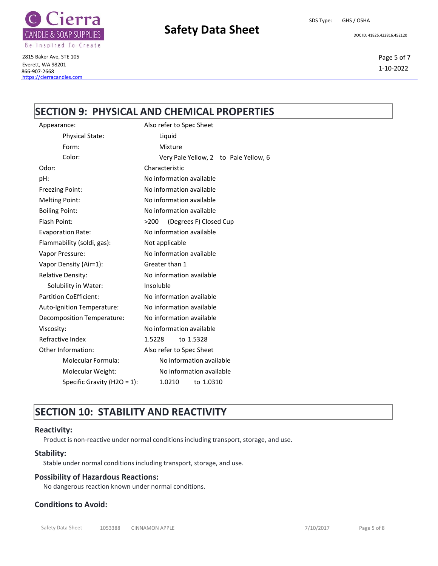

# **Safety Data Sheet** Department Decide 41825.422816.452120

SDS Type: GHS / OSHA

2815 Baker Ave, STE 105 Everett, WA 98201 866-907-2668 https://cierracandles.com

### Page 5 of 7 1-10-2022

### **SECTION 9: PHYSICAL AND CHEMICAL PROPERTIES**

| Appearance:                                                                |                                                               | Also refer to Spec Sheet              |
|----------------------------------------------------------------------------|---------------------------------------------------------------|---------------------------------------|
|                                                                            | <b>Physical State:</b>                                        | Liquid                                |
|                                                                            | Form:                                                         | Mixture                               |
|                                                                            | Color:                                                        | Very Pale Yellow, 2 to Pale Yellow, 6 |
|                                                                            | Odor:                                                         | Characteristic                        |
|                                                                            | pH:                                                           | No information available              |
|                                                                            | <b>Freezing Point:</b>                                        | No information available              |
|                                                                            | <b>Melting Point:</b>                                         | No information available              |
|                                                                            | <b>Boiling Point:</b>                                         | No information available              |
|                                                                            | Flash Point:                                                  | (Degrees F) Closed Cup<br>>200        |
|                                                                            | <b>Evaporation Rate:</b>                                      | No information available              |
| Flammability (soldi, gas):<br>Not applicable                               |                                                               |                                       |
|                                                                            | Vapor Pressure:                                               | No information available              |
| Vapor Density (Air=1):<br><b>Relative Density:</b><br>Solubility in Water: |                                                               | Greater than 1                        |
|                                                                            |                                                               | No information available              |
|                                                                            |                                                               | Insoluble                             |
|                                                                            | <b>Partition CoEfficient:</b>                                 | No information available              |
| No information available<br>Auto-Ignition Temperature:                     |                                                               |                                       |
|                                                                            | No information available<br><b>Decomposition Temperature:</b> |                                       |
|                                                                            | No information available<br>Viscosity:                        |                                       |
|                                                                            | Refractive Index                                              | 1.5228<br>to 1.5328                   |
| Other Information:<br>Molecular Formula:<br>Molecular Weight:              |                                                               | Also refer to Spec Sheet              |
|                                                                            |                                                               | No information available              |
|                                                                            |                                                               | No information available              |
|                                                                            | Specific Gravity (H2O = $1$ ):                                | 1.0210<br>to 1.0310                   |
|                                                                            |                                                               |                                       |

# **SECTION 10: STABILITY AND REACTIVITY**

### <span id="page-4-0"></span>**Reactivity:**

Product is non-reactive under normal conditions including transport, storage, and use.

### **Stability:**

Stable under normal conditions including transport, storage, and use.

### **Possibility of Hazardous Reactions:**

No dangerous reaction known under normal conditions.

### **Conditions to Avoid:**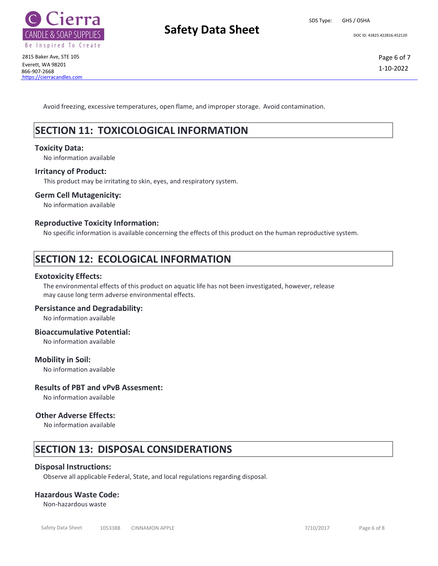

# **Safety Data Sheet** Department Decipe 41825.422816.452120

SDS Type: GHS / OSHA

Avoid freezing, excessive temperatures, open flame, and improper storage. Avoid contamination.

## **SECTION 11: TOXICOLOGICAL INFORMATION**

### **Toxicity Data:**

No information available

### **Irritancy of Product:**

This product may be irritating to skin, eyes, and respiratory system.

### **Germ Cell Mutagenicity:**

No information available

### **Reproductive Toxicity Information:**

No specific information is available concerning the effects of this product on the human reproductive system.

## **SECTION 12: ECOLOGICAL INFORMATION**

### **Exotoxicity Effects:**

The environmental effects of this product on aquatic life has not been investigated, however, release may cause long term adverse environmental effects.

### **Persistance and Degradability:**

No information available

### **Bioaccumulative Potential:**

No information available

### **Mobility in Soil:**

No information available

### **Results of PBT and vPvB Assesment:**

No information available

### **Other Adverse Effects:**

No information available

### **SECTION 13: DISPOSAL CONSIDERATIONS**

### **Disposal Instructions:**

Observe all applicable Federal, State, and local regulations regarding disposal.

### **Hazardous Waste Code:**

Non-hazardous waste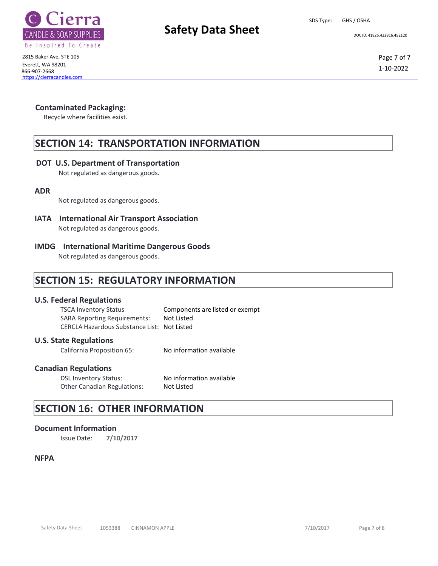



# **Safety Data Sheet** Department Decline 41825.422816.452120

2815 Baker Ave, STE 105 Everett, WA 98201 866-907-2668 https://cierracandles.com Page 7 of 7 1-10-2022

### **Contaminated Packaging:**

Recycle where facilities exist.

### **SECTION 14: TRANSPORTATION INFORMATION**

### **DOT U.S. Department of Transportation**

Not regulated as dangerous goods.

### **ADR**

Not regulated as dangerous goods.

### **IATA International Air Transport Association** Not regulated as dangerous goods.

### **IMDG International Maritime Dangerous Goods**

Not regulated as dangerous goods.

### **SECTION 15: REGULATORY INFORMATION**

### **U.S. Federal Regulations**

TSCA Inventory Status Components are listed or exempt SARA Reporting Requirements: Not Listed CERCLA Hazardous Substance List: Not Listed

### **U.S. State Regulations**

California Proposition 65: No information available

### **Canadian Regulations**

DSL Inventory Status: No information available Other Canadian Regulations: Not Listed

## **SECTION 16: OTHER INFORMATION**

### **Document Information**

Issue Date: **7/10/2017**

### **NFPA**